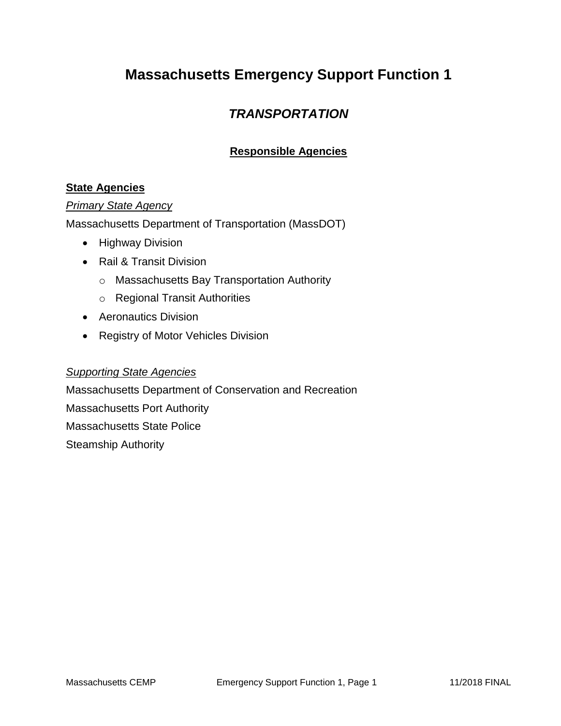## **Massachusetts Emergency Support Function 1**

### *TRANSPORTATION*

### **Responsible Agencies**

### **State Agencies**

#### *Primary State Agency*

Massachusetts Department of Transportation (MassDOT)

- Highway Division
- Rail & Transit Division
	- o Massachusetts Bay Transportation Authority
	- o Regional Transit Authorities
- Aeronautics Division
- Registry of Motor Vehicles Division

#### *Supporting State Agencies*

Massachusetts Department of Conservation and Recreation Massachusetts Port Authority Massachusetts State Police Steamship Authority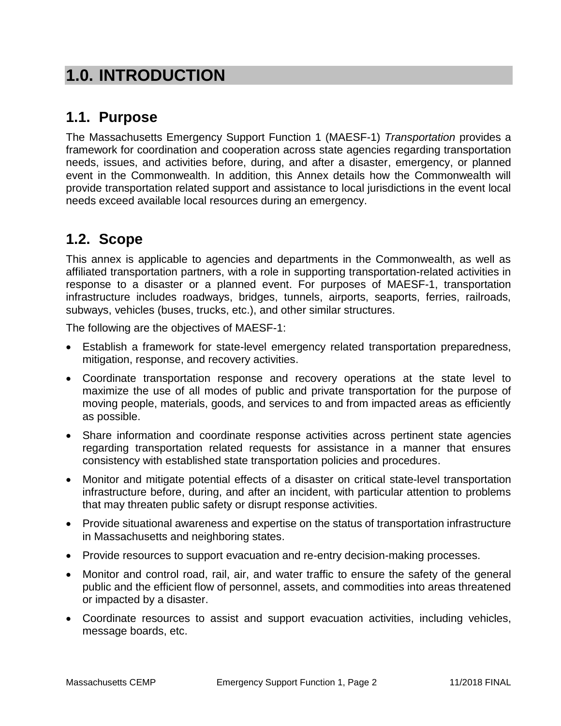# **1.0. INTRODUCTION**

## **1.1. Purpose**

The Massachusetts Emergency Support Function 1 (MAESF-1) *Transportation* provides a framework for coordination and cooperation across state agencies regarding transportation needs, issues, and activities before, during, and after a disaster, emergency, or planned event in the Commonwealth. In addition, this Annex details how the Commonwealth will provide transportation related support and assistance to local jurisdictions in the event local needs exceed available local resources during an emergency.

## **1.2. Scope**

This annex is applicable to agencies and departments in the Commonwealth, as well as affiliated transportation partners, with a role in supporting transportation-related activities in response to a disaster or a planned event. For purposes of MAESF-1, transportation infrastructure includes roadways, bridges, tunnels, airports, seaports, ferries, railroads, subways, vehicles (buses, trucks, etc.), and other similar structures.

The following are the objectives of MAESF-1:

- Establish a framework for state-level emergency related transportation preparedness, mitigation, response, and recovery activities.
- Coordinate transportation response and recovery operations at the state level to maximize the use of all modes of public and private transportation for the purpose of moving people, materials, goods, and services to and from impacted areas as efficiently as possible.
- Share information and coordinate response activities across pertinent state agencies regarding transportation related requests for assistance in a manner that ensures consistency with established state transportation policies and procedures.
- Monitor and mitigate potential effects of a disaster on critical state-level transportation infrastructure before, during, and after an incident, with particular attention to problems that may threaten public safety or disrupt response activities.
- Provide situational awareness and expertise on the status of transportation infrastructure in Massachusetts and neighboring states.
- Provide resources to support evacuation and re-entry decision-making processes.
- Monitor and control road, rail, air, and water traffic to ensure the safety of the general public and the efficient flow of personnel, assets, and commodities into areas threatened or impacted by a disaster.
- Coordinate resources to assist and support evacuation activities, including vehicles, message boards, etc.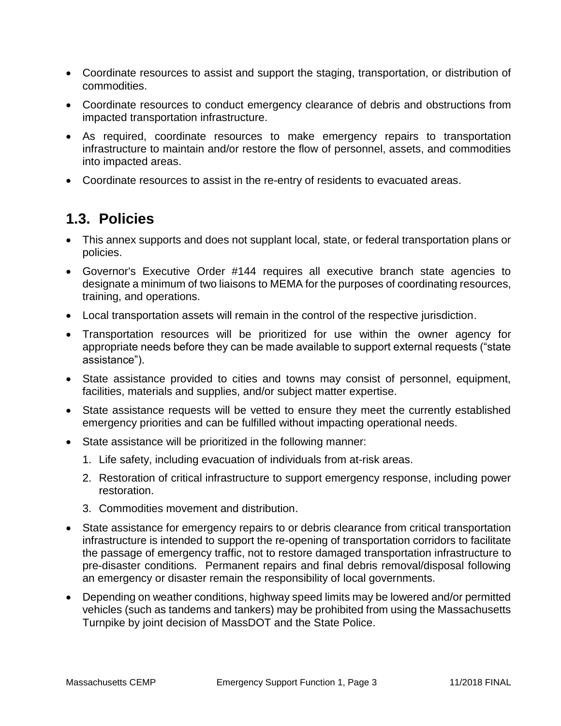- Coordinate resources to assist and support the staging, transportation, or distribution of commodities.
- Coordinate resources to conduct emergency clearance of debris and obstructions from impacted transportation infrastructure.
- As required, coordinate resources to make emergency repairs to transportation infrastructure to maintain and/or restore the flow of personnel, assets, and commodities into impacted areas.
- Coordinate resources to assist in the re-entry of residents to evacuated areas.

### **1.3. Policies**

- This annex supports and does not supplant local, state, or federal transportation plans or policies.
- Governor's Executive Order #144 requires all executive branch state agencies to designate a minimum of two liaisons to MEMA for the purposes of coordinating resources, training, and operations.
- Local transportation assets will remain in the control of the respective jurisdiction.
- Transportation resources will be prioritized for use within the owner agency for appropriate needs before they can be made available to support external requests ("state assistance").
- State assistance provided to cities and towns may consist of personnel, equipment, facilities, materials and supplies, and/or subject matter expertise.
- State assistance requests will be vetted to ensure they meet the currently established emergency priorities and can be fulfilled without impacting operational needs.
- State assistance will be prioritized in the following manner:
	- 1. Life safety, including evacuation of individuals from at-risk areas.
	- 2. Restoration of critical infrastructure to support emergency response, including power restoration.
	- 3. Commodities movement and distribution.
- State assistance for emergency repairs to or debris clearance from critical transportation infrastructure is intended to support the re-opening of transportation corridors to facilitate the passage of emergency traffic, not to restore damaged transportation infrastructure to pre-disaster conditions. Permanent repairs and final debris removal/disposal following an emergency or disaster remain the responsibility of local governments.
- Depending on weather conditions, highway speed limits may be lowered and/or permitted vehicles (such as tandems and tankers) may be prohibited from using the Massachusetts Turnpike by joint decision of MassDOT and the State Police.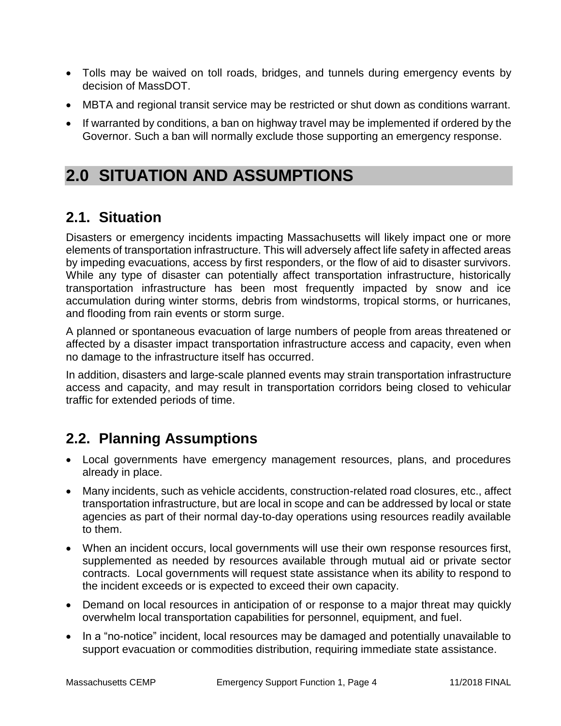- Tolls may be waived on toll roads, bridges, and tunnels during emergency events by decision of MassDOT.
- MBTA and regional transit service may be restricted or shut down as conditions warrant.
- If warranted by conditions, a ban on highway travel may be implemented if ordered by the Governor. Such a ban will normally exclude those supporting an emergency response.

# **2.0 SITUATION AND ASSUMPTIONS**

## **2.1. Situation**

Disasters or emergency incidents impacting Massachusetts will likely impact one or more elements of transportation infrastructure. This will adversely affect life safety in affected areas by impeding evacuations, access by first responders, or the flow of aid to disaster survivors. While any type of disaster can potentially affect transportation infrastructure, historically transportation infrastructure has been most frequently impacted by snow and ice accumulation during winter storms, debris from windstorms, tropical storms, or hurricanes, and flooding from rain events or storm surge.

A planned or spontaneous evacuation of large numbers of people from areas threatened or affected by a disaster impact transportation infrastructure access and capacity, even when no damage to the infrastructure itself has occurred.

In addition, disasters and large-scale planned events may strain transportation infrastructure access and capacity, and may result in transportation corridors being closed to vehicular traffic for extended periods of time.

## **2.2. Planning Assumptions**

- Local governments have emergency management resources, plans, and procedures already in place.
- Many incidents, such as vehicle accidents, construction-related road closures, etc., affect transportation infrastructure, but are local in scope and can be addressed by local or state agencies as part of their normal day-to-day operations using resources readily available to them.
- When an incident occurs, local governments will use their own response resources first, supplemented as needed by resources available through mutual aid or private sector contracts. Local governments will request state assistance when its ability to respond to the incident exceeds or is expected to exceed their own capacity.
- Demand on local resources in anticipation of or response to a major threat may quickly overwhelm local transportation capabilities for personnel, equipment, and fuel.
- In a "no-notice" incident, local resources may be damaged and potentially unavailable to support evacuation or commodities distribution, requiring immediate state assistance.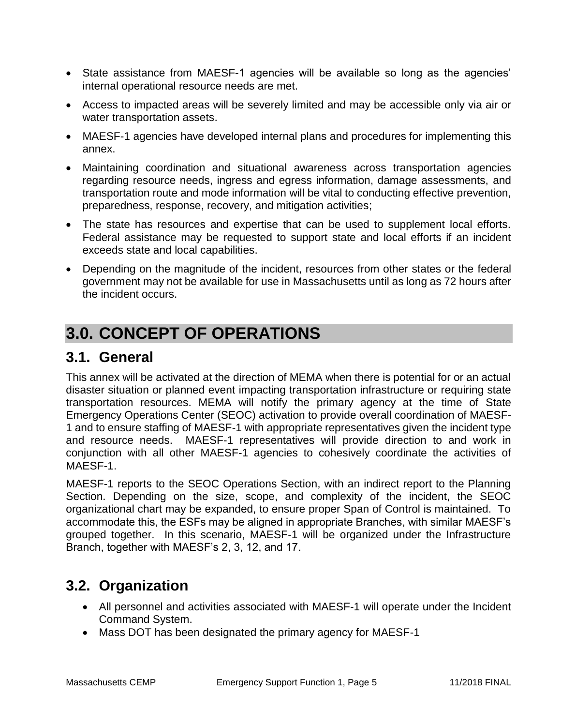- State assistance from MAESF-1 agencies will be available so long as the agencies' internal operational resource needs are met.
- Access to impacted areas will be severely limited and may be accessible only via air or water transportation assets.
- MAESF-1 agencies have developed internal plans and procedures for implementing this annex.
- Maintaining coordination and situational awareness across transportation agencies regarding resource needs, ingress and egress information, damage assessments, and transportation route and mode information will be vital to conducting effective prevention, preparedness, response, recovery, and mitigation activities;
- The state has resources and expertise that can be used to supplement local efforts. Federal assistance may be requested to support state and local efforts if an incident exceeds state and local capabilities.
- Depending on the magnitude of the incident, resources from other states or the federal government may not be available for use in Massachusetts until as long as 72 hours after the incident occurs.

# **3.0. CONCEPT OF OPERATIONS**

### **3.1. General**

This annex will be activated at the direction of MEMA when there is potential for or an actual disaster situation or planned event impacting transportation infrastructure or requiring state transportation resources. MEMA will notify the primary agency at the time of State Emergency Operations Center (SEOC) activation to provide overall coordination of MAESF-1 and to ensure staffing of MAESF-1 with appropriate representatives given the incident type and resource needs. MAESF-1 representatives will provide direction to and work in conjunction with all other MAESF-1 agencies to cohesively coordinate the activities of MAESF-1.

MAESF-1 reports to the SEOC Operations Section, with an indirect report to the Planning Section. Depending on the size, scope, and complexity of the incident, the SEOC organizational chart may be expanded, to ensure proper Span of Control is maintained. To accommodate this, the ESFs may be aligned in appropriate Branches, with similar MAESF's grouped together. In this scenario, MAESF-1 will be organized under the Infrastructure Branch, together with MAESF's 2, 3, 12, and 17.

## **3.2. Organization**

- All personnel and activities associated with MAESF-1 will operate under the Incident Command System.
- Mass DOT has been designated the primary agency for MAESF-1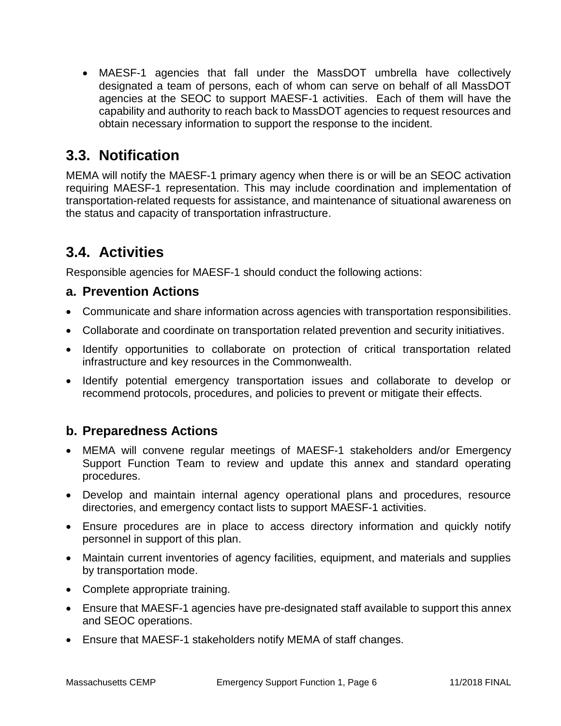MAESF-1 agencies that fall under the MassDOT umbrella have collectively designated a team of persons, each of whom can serve on behalf of all MassDOT agencies at the SEOC to support MAESF-1 activities. Each of them will have the capability and authority to reach back to MassDOT agencies to request resources and obtain necessary information to support the response to the incident.

### **3.3. Notification**

MEMA will notify the MAESF-1 primary agency when there is or will be an SEOC activation requiring MAESF-1 representation. This may include coordination and implementation of transportation-related requests for assistance, and maintenance of situational awareness on the status and capacity of transportation infrastructure.

### **3.4. Activities**

Responsible agencies for MAESF-1 should conduct the following actions:

### **a. Prevention Actions**

- Communicate and share information across agencies with transportation responsibilities.
- Collaborate and coordinate on transportation related prevention and security initiatives.
- Identify opportunities to collaborate on protection of critical transportation related infrastructure and key resources in the Commonwealth.
- Identify potential emergency transportation issues and collaborate to develop or recommend protocols, procedures, and policies to prevent or mitigate their effects.

### **b. Preparedness Actions**

- MEMA will convene regular meetings of MAESF-1 stakeholders and/or Emergency Support Function Team to review and update this annex and standard operating procedures.
- Develop and maintain internal agency operational plans and procedures, resource directories, and emergency contact lists to support MAESF-1 activities.
- Ensure procedures are in place to access directory information and quickly notify personnel in support of this plan.
- Maintain current inventories of agency facilities, equipment, and materials and supplies by transportation mode.
- Complete appropriate training.
- Ensure that MAESF-1 agencies have pre-designated staff available to support this annex and SEOC operations.
- Ensure that MAESF-1 stakeholders notify MEMA of staff changes.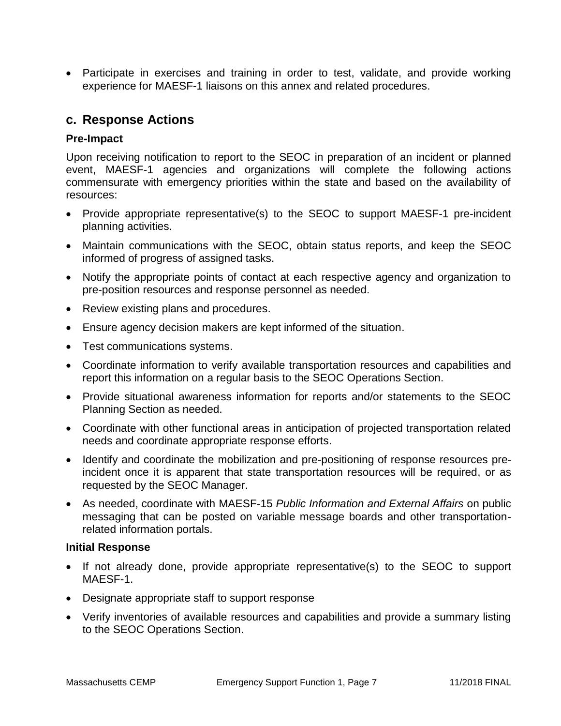• Participate in exercises and training in order to test, validate, and provide working experience for MAESF-1 liaisons on this annex and related procedures.

### **c. Response Actions**

#### **Pre-Impact**

Upon receiving notification to report to the SEOC in preparation of an incident or planned event, MAESF-1 agencies and organizations will complete the following actions commensurate with emergency priorities within the state and based on the availability of resources:

- Provide appropriate representative(s) to the SEOC to support MAESF-1 pre-incident planning activities.
- Maintain communications with the SEOC, obtain status reports, and keep the SEOC informed of progress of assigned tasks.
- Notify the appropriate points of contact at each respective agency and organization to pre-position resources and response personnel as needed.
- Review existing plans and procedures.
- Ensure agency decision makers are kept informed of the situation.
- Test communications systems.
- Coordinate information to verify available transportation resources and capabilities and report this information on a regular basis to the SEOC Operations Section.
- Provide situational awareness information for reports and/or statements to the SEOC Planning Section as needed.
- Coordinate with other functional areas in anticipation of projected transportation related needs and coordinate appropriate response efforts.
- Identify and coordinate the mobilization and pre-positioning of response resources preincident once it is apparent that state transportation resources will be required, or as requested by the SEOC Manager.
- As needed, coordinate with MAESF-15 *Public Information and External Affairs* on public messaging that can be posted on variable message boards and other transportationrelated information portals.

#### **Initial Response**

- If not already done, provide appropriate representative(s) to the SEOC to support MAESF-1.
- Designate appropriate staff to support response
- Verify inventories of available resources and capabilities and provide a summary listing to the SEOC Operations Section.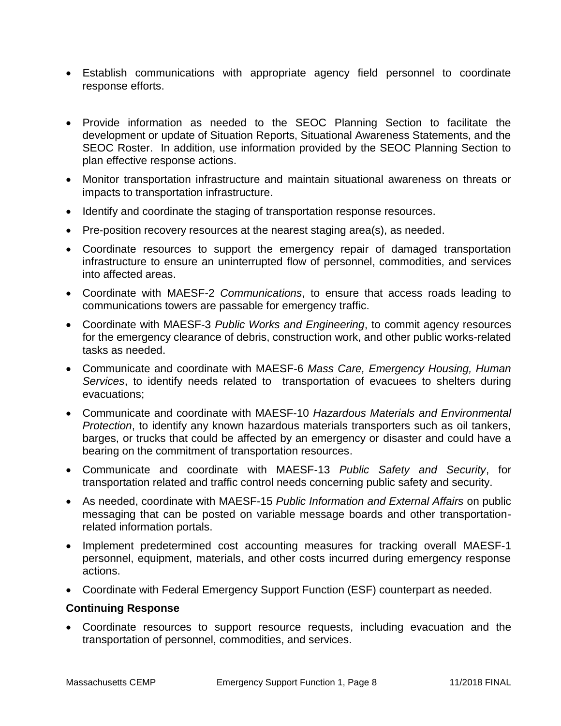- Establish communications with appropriate agency field personnel to coordinate response efforts.
- Provide information as needed to the SEOC Planning Section to facilitate the development or update of Situation Reports, Situational Awareness Statements, and the SEOC Roster. In addition, use information provided by the SEOC Planning Section to plan effective response actions.
- Monitor transportation infrastructure and maintain situational awareness on threats or impacts to transportation infrastructure.
- Identify and coordinate the staging of transportation response resources.
- $\bullet$  Pre-position recovery resources at the nearest staging area(s), as needed.
- Coordinate resources to support the emergency repair of damaged transportation infrastructure to ensure an uninterrupted flow of personnel, commodities, and services into affected areas.
- Coordinate with MAESF-2 *Communications*, to ensure that access roads leading to communications towers are passable for emergency traffic.
- Coordinate with MAESF-3 *Public Works and Engineering*, to commit agency resources for the emergency clearance of debris, construction work, and other public works-related tasks as needed.
- Communicate and coordinate with MAESF-6 *Mass Care, Emergency Housing, Human Services*, to identify needs related to transportation of evacuees to shelters during evacuations;
- Communicate and coordinate with MAESF-10 *Hazardous Materials and Environmental Protection*, to identify any known hazardous materials transporters such as oil tankers, barges, or trucks that could be affected by an emergency or disaster and could have a bearing on the commitment of transportation resources.
- Communicate and coordinate with MAESF-13 *Public Safety and Security*, for transportation related and traffic control needs concerning public safety and security.
- As needed, coordinate with MAESF-15 *Public Information and External Affairs* on public messaging that can be posted on variable message boards and other transportationrelated information portals.
- Implement predetermined cost accounting measures for tracking overall MAESF-1 personnel, equipment, materials, and other costs incurred during emergency response actions.
- Coordinate with Federal Emergency Support Function (ESF) counterpart as needed.

#### **Continuing Response**

 Coordinate resources to support resource requests, including evacuation and the transportation of personnel, commodities, and services.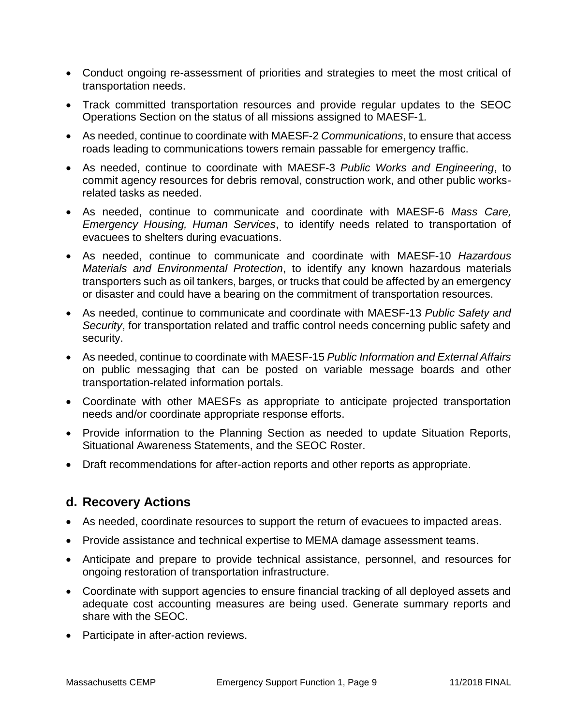- Conduct ongoing re-assessment of priorities and strategies to meet the most critical of transportation needs.
- Track committed transportation resources and provide regular updates to the SEOC Operations Section on the status of all missions assigned to MAESF-1*.*
- As needed, continue to coordinate with MAESF-2 *Communications*, to ensure that access roads leading to communications towers remain passable for emergency traffic.
- As needed, continue to coordinate with MAESF-3 *Public Works and Engineering*, to commit agency resources for debris removal, construction work, and other public worksrelated tasks as needed.
- As needed, continue to communicate and coordinate with MAESF-6 *Mass Care, Emergency Housing, Human Services*, to identify needs related to transportation of evacuees to shelters during evacuations.
- As needed, continue to communicate and coordinate with MAESF-10 *Hazardous Materials and Environmental Protection*, to identify any known hazardous materials transporters such as oil tankers, barges, or trucks that could be affected by an emergency or disaster and could have a bearing on the commitment of transportation resources.
- As needed, continue to communicate and coordinate with MAESF-13 *Public Safety and Security*, for transportation related and traffic control needs concerning public safety and security.
- As needed, continue to coordinate with MAESF-15 *Public Information and External Affairs* on public messaging that can be posted on variable message boards and other transportation-related information portals.
- Coordinate with other MAESFs as appropriate to anticipate projected transportation needs and/or coordinate appropriate response efforts.
- Provide information to the Planning Section as needed to update Situation Reports, Situational Awareness Statements, and the SEOC Roster.
- Draft recommendations for after-action reports and other reports as appropriate.

### **d. Recovery Actions**

- As needed, coordinate resources to support the return of evacuees to impacted areas.
- Provide assistance and technical expertise to MEMA damage assessment teams.
- Anticipate and prepare to provide technical assistance, personnel, and resources for ongoing restoration of transportation infrastructure.
- Coordinate with support agencies to ensure financial tracking of all deployed assets and adequate cost accounting measures are being used. Generate summary reports and share with the SEOC.
- Participate in after-action reviews.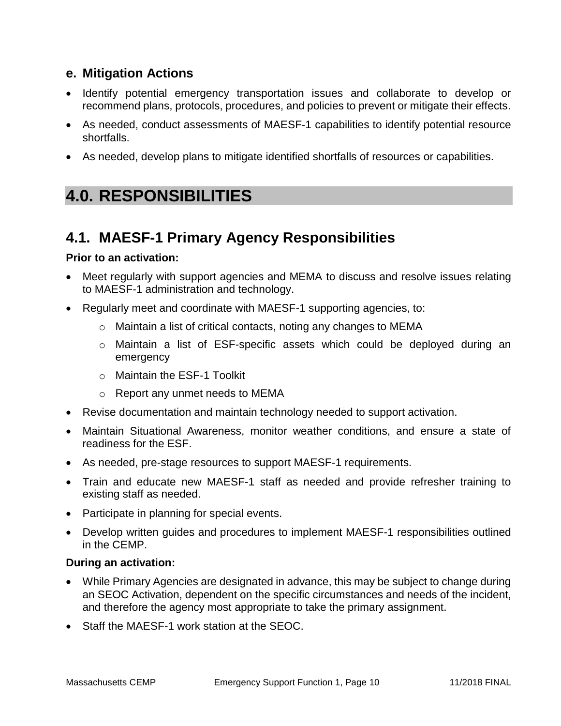### **e. Mitigation Actions**

- Identify potential emergency transportation issues and collaborate to develop or recommend plans, protocols, procedures, and policies to prevent or mitigate their effects.
- As needed, conduct assessments of MAESF-1 capabilities to identify potential resource shortfalls.
- As needed, develop plans to mitigate identified shortfalls of resources or capabilities.

## **4.0. RESPONSIBILITIES**

### **4.1. MAESF-1 Primary Agency Responsibilities**

#### **Prior to an activation:**

- Meet regularly with support agencies and MEMA to discuss and resolve issues relating to MAESF-1 administration and technology.
- Regularly meet and coordinate with MAESF-1 supporting agencies, to:
	- o Maintain a list of critical contacts, noting any changes to MEMA
	- o Maintain a list of ESF-specific assets which could be deployed during an emergency
	- o Maintain the ESF-1 Toolkit
	- o Report any unmet needs to MEMA
- Revise documentation and maintain technology needed to support activation.
- Maintain Situational Awareness, monitor weather conditions, and ensure a state of readiness for the ESF.
- As needed, pre-stage resources to support MAESF-1 requirements.
- Train and educate new MAESF-1 staff as needed and provide refresher training to existing staff as needed.
- Participate in planning for special events.
- Develop written guides and procedures to implement MAESF-1 responsibilities outlined in the CEMP.

#### **During an activation:**

- While Primary Agencies are designated in advance, this may be subject to change during an SEOC Activation, dependent on the specific circumstances and needs of the incident, and therefore the agency most appropriate to take the primary assignment.
- Staff the MAESF-1 work station at the SEOC.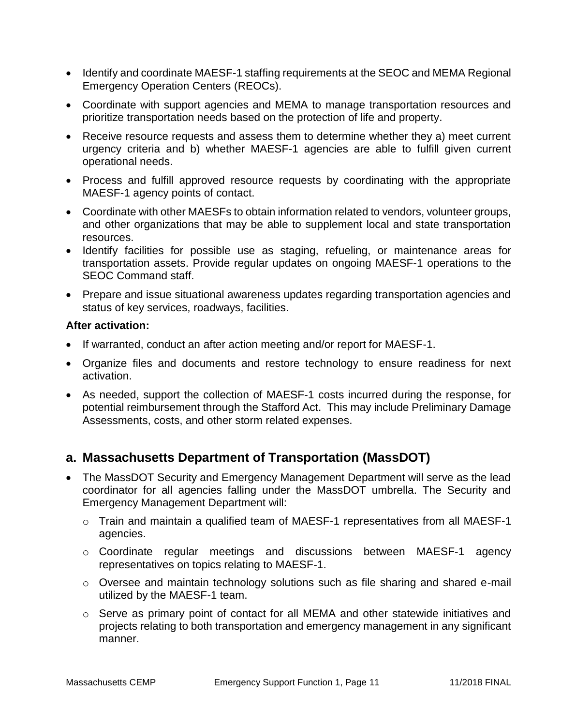- Identify and coordinate MAESF-1 staffing requirements at the SEOC and MEMA Regional Emergency Operation Centers (REOCs).
- Coordinate with support agencies and MEMA to manage transportation resources and prioritize transportation needs based on the protection of life and property.
- Receive resource requests and assess them to determine whether they a) meet current urgency criteria and b) whether MAESF-1 agencies are able to fulfill given current operational needs.
- Process and fulfill approved resource requests by coordinating with the appropriate MAESF-1 agency points of contact.
- Coordinate with other MAESFs to obtain information related to vendors, volunteer groups, and other organizations that may be able to supplement local and state transportation resources.
- Identify facilities for possible use as staging, refueling, or maintenance areas for transportation assets. Provide regular updates on ongoing MAESF-1 operations to the SEOC Command staff.
- Prepare and issue situational awareness updates regarding transportation agencies and status of key services, roadways, facilities.

#### **After activation:**

- If warranted, conduct an after action meeting and/or report for MAESF-1.
- Organize files and documents and restore technology to ensure readiness for next activation.
- As needed, support the collection of MAESF-1 costs incurred during the response, for potential reimbursement through the Stafford Act. This may include Preliminary Damage Assessments, costs, and other storm related expenses.

### **a. Massachusetts Department of Transportation (MassDOT)**

- The MassDOT Security and Emergency Management Department will serve as the lead coordinator for all agencies falling under the MassDOT umbrella. The Security and Emergency Management Department will:
	- o Train and maintain a qualified team of MAESF-1 representatives from all MAESF-1 agencies.
	- o Coordinate regular meetings and discussions between MAESF-1 agency representatives on topics relating to MAESF-1.
	- $\circ$  Oversee and maintain technology solutions such as file sharing and shared e-mail utilized by the MAESF-1 team.
	- o Serve as primary point of contact for all MEMA and other statewide initiatives and projects relating to both transportation and emergency management in any significant manner.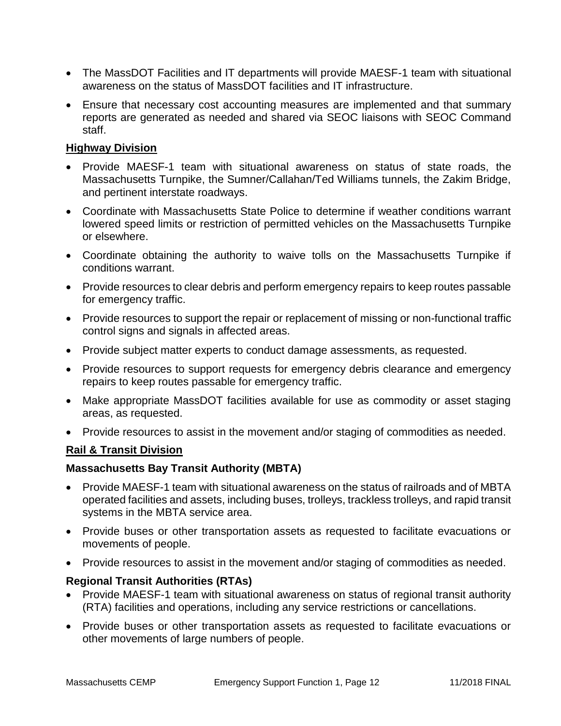- The MassDOT Facilities and IT departments will provide MAESF-1 team with situational awareness on the status of MassDOT facilities and IT infrastructure.
- Ensure that necessary cost accounting measures are implemented and that summary reports are generated as needed and shared via SEOC liaisons with SEOC Command staff.

#### **Highway Division**

- Provide MAESF-1 team with situational awareness on status of state roads, the Massachusetts Turnpike, the Sumner/Callahan/Ted Williams tunnels, the Zakim Bridge, and pertinent interstate roadways.
- Coordinate with Massachusetts State Police to determine if weather conditions warrant lowered speed limits or restriction of permitted vehicles on the Massachusetts Turnpike or elsewhere.
- Coordinate obtaining the authority to waive tolls on the Massachusetts Turnpike if conditions warrant.
- Provide resources to clear debris and perform emergency repairs to keep routes passable for emergency traffic.
- Provide resources to support the repair or replacement of missing or non-functional traffic control signs and signals in affected areas.
- Provide subject matter experts to conduct damage assessments, as requested.
- Provide resources to support requests for emergency debris clearance and emergency repairs to keep routes passable for emergency traffic.
- Make appropriate MassDOT facilities available for use as commodity or asset staging areas, as requested.
- Provide resources to assist in the movement and/or staging of commodities as needed.

#### **Rail & Transit Division**

#### **Massachusetts Bay Transit Authority (MBTA)**

- Provide MAESF-1 team with situational awareness on the status of railroads and of MBTA operated facilities and assets, including buses, trolleys, trackless trolleys, and rapid transit systems in the MBTA service area.
- Provide buses or other transportation assets as requested to facilitate evacuations or movements of people.
- Provide resources to assist in the movement and/or staging of commodities as needed.

#### **Regional Transit Authorities (RTAs)**

- Provide MAESF-1 team with situational awareness on status of regional transit authority (RTA) facilities and operations, including any service restrictions or cancellations.
- Provide buses or other transportation assets as requested to facilitate evacuations or other movements of large numbers of people.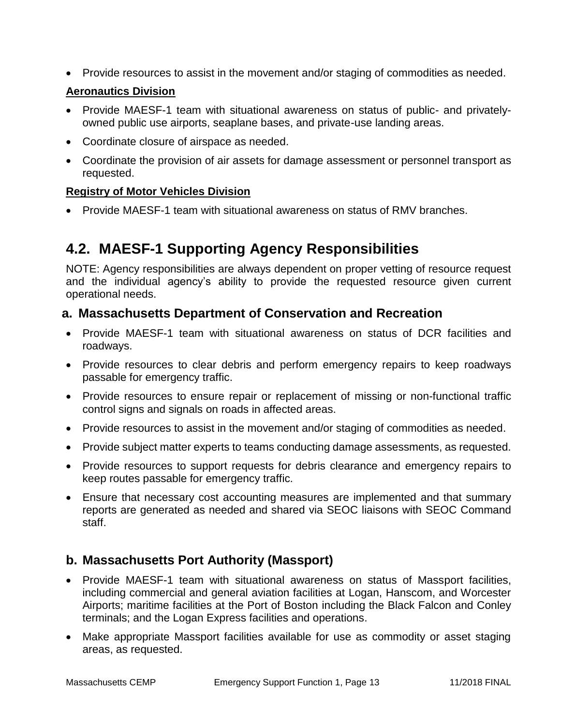• Provide resources to assist in the movement and/or staging of commodities as needed.

#### **Aeronautics Division**

- Provide MAESF-1 team with situational awareness on status of public- and privatelyowned public use airports, seaplane bases, and private-use landing areas.
- Coordinate closure of airspace as needed.
- Coordinate the provision of air assets for damage assessment or personnel transport as requested.

#### **Registry of Motor Vehicles Division**

• Provide MAESF-1 team with situational awareness on status of RMV branches.

## **4.2. MAESF-1 Supporting Agency Responsibilities**

NOTE: Agency responsibilities are always dependent on proper vetting of resource request and the individual agency's ability to provide the requested resource given current operational needs.

### **a. Massachusetts Department of Conservation and Recreation**

- Provide MAESF-1 team with situational awareness on status of DCR facilities and roadways.
- Provide resources to clear debris and perform emergency repairs to keep roadways passable for emergency traffic.
- Provide resources to ensure repair or replacement of missing or non-functional traffic control signs and signals on roads in affected areas.
- Provide resources to assist in the movement and/or staging of commodities as needed.
- Provide subject matter experts to teams conducting damage assessments, as requested.
- Provide resources to support requests for debris clearance and emergency repairs to keep routes passable for emergency traffic.
- Ensure that necessary cost accounting measures are implemented and that summary reports are generated as needed and shared via SEOC liaisons with SEOC Command staff.

### **b. Massachusetts Port Authority (Massport)**

- Provide MAESF-1 team with situational awareness on status of Massport facilities, including commercial and general aviation facilities at Logan, Hanscom, and Worcester Airports; maritime facilities at the Port of Boston including the Black Falcon and Conley terminals; and the Logan Express facilities and operations.
- Make appropriate Massport facilities available for use as commodity or asset staging areas, as requested.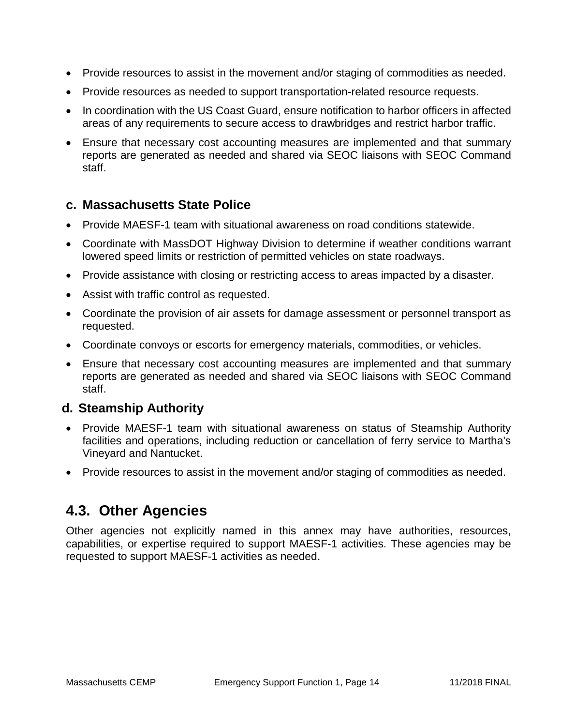- Provide resources to assist in the movement and/or staging of commodities as needed.
- Provide resources as needed to support transportation-related resource requests.
- In coordination with the US Coast Guard, ensure notification to harbor officers in affected areas of any requirements to secure access to drawbridges and restrict harbor traffic.
- Ensure that necessary cost accounting measures are implemented and that summary reports are generated as needed and shared via SEOC liaisons with SEOC Command staff.

### **c. Massachusetts State Police**

- Provide MAESF-1 team with situational awareness on road conditions statewide.
- Coordinate with MassDOT Highway Division to determine if weather conditions warrant lowered speed limits or restriction of permitted vehicles on state roadways.
- Provide assistance with closing or restricting access to areas impacted by a disaster.
- Assist with traffic control as requested.
- Coordinate the provision of air assets for damage assessment or personnel transport as requested.
- Coordinate convoys or escorts for emergency materials, commodities, or vehicles.
- Ensure that necessary cost accounting measures are implemented and that summary reports are generated as needed and shared via SEOC liaisons with SEOC Command staff.

### **d. Steamship Authority**

- Provide MAESF-1 team with situational awareness on status of Steamship Authority facilities and operations, including reduction or cancellation of ferry service to Martha's Vineyard and Nantucket.
- Provide resources to assist in the movement and/or staging of commodities as needed.

### **4.3. Other Agencies**

Other agencies not explicitly named in this annex may have authorities, resources, capabilities, or expertise required to support MAESF-1 activities. These agencies may be requested to support MAESF-1 activities as needed.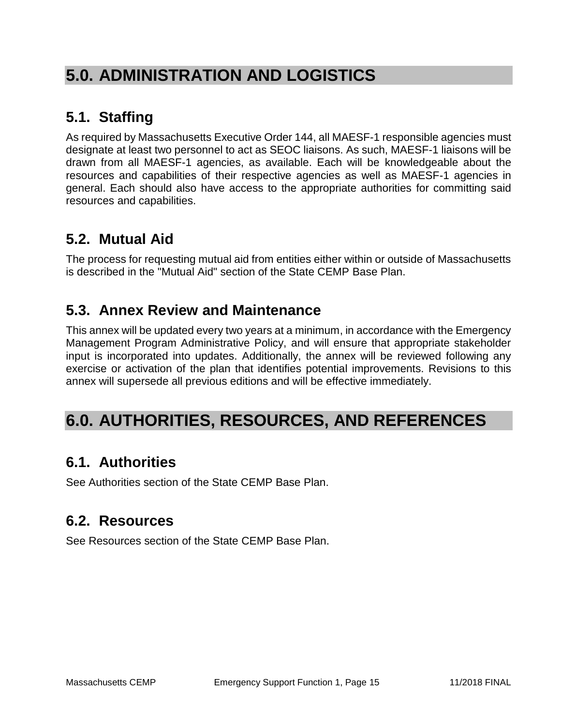# **5.0. ADMINISTRATION AND LOGISTICS**

## **5.1. Staffing**

As required by Massachusetts Executive Order 144, all MAESF-1 responsible agencies must designate at least two personnel to act as SEOC liaisons. As such, MAESF-1 liaisons will be drawn from all MAESF-1 agencies, as available. Each will be knowledgeable about the resources and capabilities of their respective agencies as well as MAESF-1 agencies in general. Each should also have access to the appropriate authorities for committing said resources and capabilities.

## **5.2. Mutual Aid**

The process for requesting mutual aid from entities either within or outside of Massachusetts is described in the "Mutual Aid" section of the State CEMP Base Plan.

## **5.3. Annex Review and Maintenance**

This annex will be updated every two years at a minimum, in accordance with the Emergency Management Program Administrative Policy, and will ensure that appropriate stakeholder input is incorporated into updates. Additionally, the annex will be reviewed following any exercise or activation of the plan that identifies potential improvements. Revisions to this annex will supersede all previous editions and will be effective immediately.

# **6.0. AUTHORITIES, RESOURCES, AND REFERENCES**

## **6.1. Authorities**

See Authorities section of the State CEMP Base Plan.

### **6.2. Resources**

See Resources section of the State CEMP Base Plan.